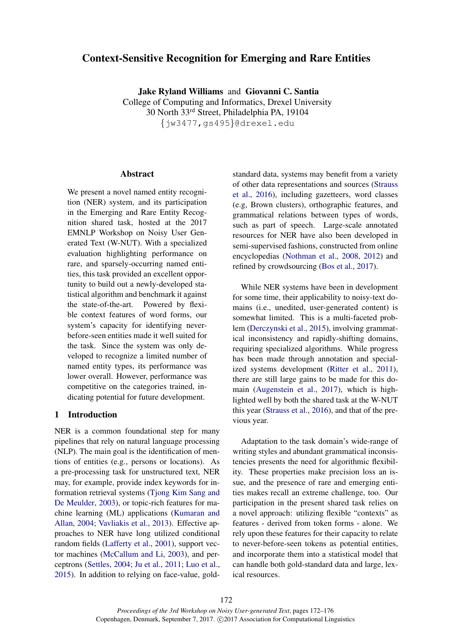# Context-Sensitive Recognition for Emerging and Rare Entities

Jake Ryland Williams and Giovanni C. Santia

College of Computing and Informatics, Drexel University 30 North 33rd Street, Philadelphia PA, 19104 {jw3477,gs495}@drexel.edu

## Abstract

We present a novel named entity recognition (NER) system, and its participation in the Emerging and Rare Entity Recognition shared task, hosted at the 2017 EMNLP Workshop on Noisy User Generated Text (W-NUT). With a specialized evaluation highlighting performance on rare, and sparsely-occurring named entities, this task provided an excellent opportunity to build out a newly-developed statistical algorithm and benchmark it against the state-of-the-art. Powered by flexible context features of word forms, our system's capacity for identifying neverbefore-seen entities made it well suited for the task. Since the system was only developed to recognize a limited number of named entity types, its performance was lower overall. However, performance was competitive on the categories trained, indicating potential for future development.

## 1 Introduction

NER is a common foundational step for many pipelines that rely on natural language processing (NLP). The main goal is the identification of mentions of entities (e.g., persons or locations). As a pre-processing task for unstructured text, NER may, for example, provide index keywords for information retrieval systems (Tjong Kim Sang and De Meulder, 2003), or topic-rich features for machine learning (ML) applications (Kumaran and Allan, 2004; Vavliakis et al., 2013). Effective approaches to NER have long utilized conditional random fields (Lafferty et al., 2001), support vector machines (McCallum and Li, 2003), and perceptrons (Settles, 2004; Ju et al., 2011; Luo et al., 2015). In addition to relying on face-value, goldstandard data, systems may benefit from a variety of other data representations and sources (Strauss et al., 2016), including gazetteers, word classes (e.g, Brown clusters), orthographic features, and grammatical relations between types of words, such as part of speech. Large-scale annotated resources for NER have also been developed in semi-supervised fashions, constructed from online encyclopedias (Nothman et al., 2008, 2012) and refined by crowdsourcing (Bos et al., 2017).

While NER systems have been in development for some time, their applicability to noisy-text domains (i.e., unedited, user-generated content) is somewhat limited. This is a multi-faceted problem (Derczynski et al., 2015), involving grammatical inconsistency and rapidly-shifting domains, requiring specialized algorithms. While progress has been made through annotation and specialized systems development (Ritter et al., 2011), there are still large gains to be made for this domain (Augenstein et al., 2017), which is highlighted well by both the shared task at the W-NUT this year (Strauss et al., 2016), and that of the previous year.

Adaptation to the task domain's wide-range of writing styles and abundant grammatical inconsistencies presents the need for algorithmic flexibility. These properties make precision loss an issue, and the presence of rare and emerging entities makes recall an extreme challenge, too. Our participation in the present shared task relies on a novel approach: utilizing flexible "contexts" as features - derived from token forms - alone. We rely upon these features for their capacity to relate to never-before-seen tokens as potential entities, and incorporate them into a statistical model that can handle both gold-standard data and large, lexical resources.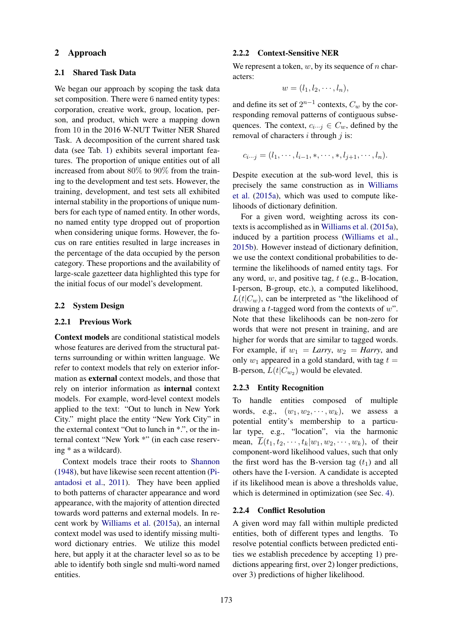## 2 Approach

#### 2.1 Shared Task Data

We began our approach by scoping the task data set composition. There were 6 named entity types: corporation, creative work, group, location, person, and product, which were a mapping down from 10 in the 2016 W-NUT Twitter NER Shared Task. A decomposition of the current shared task data (see Tab. 1) exhibits several important features. The proportion of unique entities out of all increased from about 80% to 90% from the training to the development and test sets. However, the training, development, and test sets all exhibited internal stability in the proportions of unique numbers for each type of named entity. In other words, no named entity type dropped out of proportion when considering unique forms. However, the focus on rare entities resulted in large increases in the percentage of the data occupied by the person category. These proportions and the availability of large-scale gazetteer data highlighted this type for the initial focus of our model's development.

## 2.2 System Design

#### 2.2.1 Previous Work

Context models are conditional statistical models whose features are derived from the structural patterns surrounding or within written language. We refer to context models that rely on exterior information as external context models, and those that rely on interior information as internal context models. For example, word-level context models applied to the text: "Out to lunch in New York City." might place the entity "New York City" in the external context "Out to lunch in \*.", or the internal context "New York \*" (in each case reserving \* as a wildcard).

Context models trace their roots to Shannon (1948), but have likewise seen recent attention (Piantadosi et al., 2011). They have been applied to both patterns of character appearance and word appearance, with the majority of attention directed towards word patterns and external models. In recent work by Williams et al. (2015a), an internal context model was used to identify missing multiword dictionary entries. We utilize this model here, but apply it at the character level so as to be able to identify both single snd multi-word named entities.

#### 2.2.2 Context-Sensitive NER

We represent a token,  $w$ , by its sequence of n characters:

$$
w=(l_1,l_2,\cdots,l_n),
$$

and define its set of  $2^{n-1}$  contexts,  $C_w$  by the corresponding removal patterns of contiguous subsequences. The context,  $c_{i\cdots j} \in C_w$ , defined by the removal of characters  $i$  through  $j$  is:

$$
c_{i\cdots j}=(l_1,\cdots,l_{i-1},\ast,\cdots,\ast,l_{j+1},\cdots,l_n).
$$

Despite execution at the sub-word level, this is precisely the same construction as in Williams et al. (2015a), which was used to compute likelihoods of dictionary definition.

For a given word, weighting across its contexts is accomplished as in Williams et al. (2015a), induced by a partition process (Williams et al., 2015b). However instead of dictionary definition, we use the context conditional probabilities to determine the likelihoods of named entity tags. For any word,  $w$ , and positive tag,  $t$  (e.g., B-location, I-person, B-group, etc.), a computed likelihood,  $L(t|C_w)$ , can be interpreted as "the likelihood of drawing a *t*-tagged word from the contexts of  $w$ ". Note that these likelihoods can be non-zero for words that were not present in training, and are higher for words that are similar to tagged words. For example, if  $w_1 = Larry$ ,  $w_2 = Harry$ , and only  $w_1$  appeared in a gold standard, with tag  $t =$ B-person,  $L(t|C_{w_2})$  would be elevated.

### 2.2.3 Entity Recognition

To handle entities composed of multiple words, e.g.,  $(w_1, w_2, \dots, w_k)$ , we assess a potential entity's membership to a particular type, e.g., "location", via the harmonic mean,  $\overline{L}(t_1, t_2, \dots, t_k | w_1, w_2, \dots, w_k)$ , of their component-word likelihood values, such that only the first word has the B-version tag  $(t_1)$  and all others have the I-version. A candidate is accepted if its likelihood mean is above a thresholds value, which is determined in optimization (see Sec. 4).

## 2.2.4 Conflict Resolution

A given word may fall within multiple predicted entities, both of different types and lengths. To resolve potential conflicts between predicted entities we establish precedence by accepting 1) predictions appearing first, over 2) longer predictions, over 3) predictions of higher likelihood.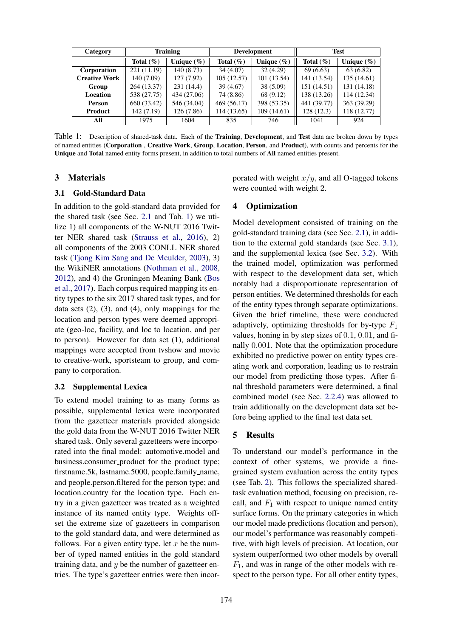| Category             |               | <b>Training</b> | <b>Development</b> |                | <b>Test</b>   |                |
|----------------------|---------------|-----------------|--------------------|----------------|---------------|----------------|
|                      | Total $(\% )$ | Unique $(\% )$  | Total $(\% )$      | Unique $(\% )$ | Total $(\% )$ | Unique $(\% )$ |
| Corporation          | 221 (11.19)   | 140(8.73)       | 34(4.07)           | 32(4.29)       | 69(6.63)      | 63(6.82)       |
| <b>Creative Work</b> | 140 (7.09)    | 127(7.92)       | 105(12.57)         | 101 (13.54)    | 141 (13.54)   | 135 (14.61)    |
| Group                | 264 (13.37)   | 231(14.4)       | 39(4.67)           | 38 (5.09)      | 151 (14.51)   | 131 (14.18)    |
| Location             | 538 (27.75)   | 434 (27.06)     | 74 (8.86)          | 68 (9.12)      | 138 (13.26)   | 114 (12.34)    |
| <b>Person</b>        | 660 (33.42)   | 546 (34.04)     | 469 (56.17)        | 398 (53.35)    | 441 (39.77)   | 363 (39.29)    |
| Product              | 142 (7.19)    | 126(7.86)       | 114 (13.65)        | 109(14.61)     | 128(12.3)     | 118 (12.77)    |
| All                  | 1975          | 1604            | 835                | 746            | 1041          | 924            |

Table 1: Description of shared-task data. Each of the Training, Development, and Test data are broken down by types of named entities (Corporation , Creative Work, Group, Location, Person, and Product), with counts and percents for the Unique and Total named entity forms present, in addition to total numbers of All named entities present.

#### 3 Materials

#### 3.1 Gold-Standard Data

In addition to the gold-standard data provided for the shared task (see Sec. 2.1 and Tab. 1) we utilize 1) all components of the W-NUT 2016 Twitter NER shared task (Strauss et al., 2016), 2) all components of the 2003 CONLL NER shared task (Tjong Kim Sang and De Meulder, 2003), 3) the WikiNER annotations (Nothman et al., 2008, 2012), and 4) the Groningen Meaning Bank (Bos et al., 2017). Each corpus required mapping its entity types to the six 2017 shared task types, and for data sets  $(2)$ ,  $(3)$ , and  $(4)$ , only mappings for the location and person types were deemed appropriate (geo-loc, facility, and loc to location, and per to person). However for data set (1), additional mappings were accepted from tvshow and movie to creative-work, sportsteam to group, and company to corporation.

# 3.2 Supplemental Lexica

To extend model training to as many forms as possible, supplemental lexica were incorporated from the gazetteer materials provided alongside the gold data from the W-NUT 2016 Twitter NER shared task. Only several gazetteers were incorporated into the final model: automotive.model and business.consumer product for the product type; firstname.5k, lastname.5000, people.family name, and people.person.filtered for the person type; and location.country for the location type. Each entry in a given gazetteer was treated as a weighted instance of its named entity type. Weights offset the extreme size of gazetteers in comparison to the gold standard data, and were determined as follows. For a given entity type, let  $x$  be the number of typed named entities in the gold standard training data, and  $y$  be the number of gazetteer entries. The type's gazetteer entries were then incorporated with weight  $x/y$ , and all O-tagged tokens were counted with weight 2.

#### 4 Optimization

Model development consisted of training on the gold-standard training data (see Sec. 2.1), in addition to the external gold standards (see Sec. 3.1), and the supplemental lexica (see Sec. 3.2). With the trained model, optimization was performed with respect to the development data set, which notably had a disproportionate representation of person entities. We determined thresholds for each of the entity types through separate optimizations. Given the brief timeline, these were conducted adaptively, optimizing thresholds for by-type  $F_1$ values, honing in by step sizes of 0.1, 0.01, and finally 0.001. Note that the optimization procedure exhibited no predictive power on entity types creating work and corporation, leading us to restrain our model from predicting those types. After final threshold parameters were determined, a final combined model (see Sec. 2.2.4) was allowed to train additionally on the development data set before being applied to the final test data set.

#### 5 Results

To understand our model's performance in the context of other systems, we provide a finegrained system evaluation across the entity types (see Tab. 2). This follows the specialized sharedtask evaluation method, focusing on precision, recall, and  $F_1$  with respect to unique named entity surface forms. On the primary categories in which our model made predictions (location and person), our model's performance was reasonably competitive, with high levels of precision. At location, our system outperformed two other models by overall  $F_1$ , and was in range of the other models with respect to the person type. For all other entity types,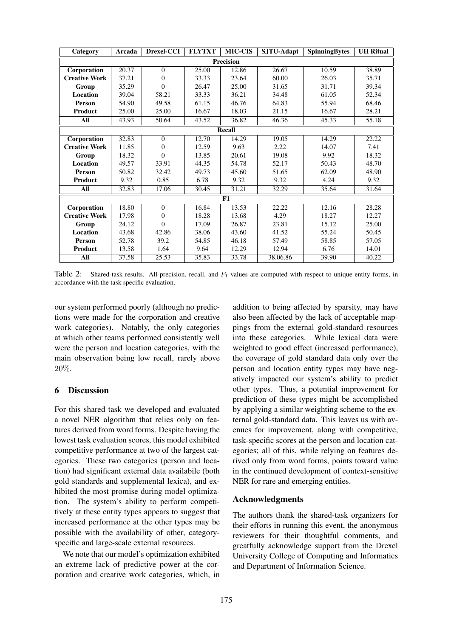| Category             | Arcada | Drexel-CCI | <b>FLYTXT</b> | <b>MIC-CIS</b> | SJTU-Adapt | <b>SpinningBytes</b> | <b>UH Ritual</b> |  |  |  |  |
|----------------------|--------|------------|---------------|----------------|------------|----------------------|------------------|--|--|--|--|
| <b>Precision</b>     |        |            |               |                |            |                      |                  |  |  |  |  |
| Corporation          | 20.37  | $\theta$   | 25.00         | 12.86          | 26.67      | 10.59                | 38.89            |  |  |  |  |
| <b>Creative Work</b> | 37.21  | $\Omega$   | 33.33         | 23.64          | 60.00      | 26.03                | 35.71            |  |  |  |  |
| Group                | 35.29  | $\Omega$   | 26.47         | 25.00          | 31.65      | 31.71                | 39.34            |  |  |  |  |
| <b>Location</b>      | 39.04  | 58.21      | 33.33         | 36.21          | 34.48      | 61.05                | 52.34            |  |  |  |  |
| <b>Person</b>        | 54.90  | 49.58      | 61.15         | 46.76          | 64.83      | 55.94                | 68.46            |  |  |  |  |
| <b>Product</b>       | 25.00  | 25.00      | 16.67         | 18.03          | 21.15      | 16.67                | 28.21            |  |  |  |  |
| All                  | 43.93  | 50.64      | 43.52         | 36.82          | 46.36      | 45.33                | 55.18            |  |  |  |  |
| Recall               |        |            |               |                |            |                      |                  |  |  |  |  |
| Corporation          | 32.83  | $\Omega$   | 12.70         | 14.29          | 19.05      | 14.29                | 22.22            |  |  |  |  |
| <b>Creative Work</b> | 11.85  | $\Omega$   | 12.59         | 9.63           | 2.22       | 14.07                | 7.41             |  |  |  |  |
| Group                | 18.32  | $\Omega$   | 13.85         | 20.61          | 19.08      | 9.92                 | 18.32            |  |  |  |  |
| <b>Location</b>      | 49.57  | 33.91      | 44.35         | 54.78          | 52.17      | 50.43                | 48.70            |  |  |  |  |
| Person               | 50.82  | 32.42      | 49.73         | 45.60          | 51.65      | 62.09                | 48.90            |  |  |  |  |
| <b>Product</b>       | 9.32   | 0.85       | 6.78          | 9.32           | 9.32       | 4.24                 | 9.32             |  |  |  |  |
| All                  | 32.83  | 17.06      | 30.45         | 31.21          | 32.29      | 35.64                | 31.64            |  |  |  |  |
| F1                   |        |            |               |                |            |                      |                  |  |  |  |  |
| Corporation          | 18.80  | $\theta$   | 16.84         | 13.53          | 22.22      | 12.16                | 28.28            |  |  |  |  |
| <b>Creative Work</b> | 17.98  | $\Omega$   | 18.28         | 13.68          | 4.29       | 18.27                | 12.27            |  |  |  |  |
| Group                | 24.12  | $\Omega$   | 17.09         | 26.87          | 23.81      | 15.12                | 25.00            |  |  |  |  |
| Location             | 43.68  | 42.86      | 38.06         | 43.60          | 41.52      | 55.24                | 50.45            |  |  |  |  |
| Person               | 52.78  | 39.2       | 54.85         | 46.18          | 57.49      | 58.85                | 57.05            |  |  |  |  |
| Product              | 13.58  | 1.64       | 9.64          | 12.29          | 12.94      | 6.76                 | 14.01            |  |  |  |  |
| All                  | 37.58  | 25.53      | 35.83         | 33.78          | 38.06.86   | 39.90                | 40.22            |  |  |  |  |

Table 2: Shared-task results. All precision, recall, and  $F_1$  values are computed with respect to unique entity forms, in accordance with the task specific evaluation.

our system performed poorly (although no predictions were made for the corporation and creative work categories). Notably, the only categories at which other teams performed consistently well were the person and location categories, with the main observation being low recall, rarely above 20%.

# 6 Discussion

For this shared task we developed and evaluated a novel NER algorithm that relies only on features derived from word forms. Despite having the lowest task evaluation scores, this model exhibited competitive performance at two of the largest categories. These two categories (person and location) had significant external data availabile (both gold standards and supplemental lexica), and exhibited the most promise during model optimization. The system's ability to perform competitively at these entity types appears to suggest that increased performance at the other types may be possible with the availability of other, categoryspecific and large-scale external resources.

We note that our model's optimization exhibited an extreme lack of predictive power at the corporation and creative work categories, which, in

addition to being affected by sparsity, may have also been affected by the lack of acceptable mappings from the external gold-standard resources into these categories. While lexical data were weighted to good effect (increased performance), the coverage of gold standard data only over the person and location entity types may have negatively impacted our system's ability to predict other types. Thus, a potential improvement for prediction of these types might be accomplished by applying a similar weighting scheme to the external gold-standard data. This leaves us with avenues for improvement, along with competitive, task-specific scores at the person and location categories; all of this, while relying on features derived only from word forms, points toward value in the continued development of context-sensitive NER for rare and emerging entities.

# Acknowledgments

The authors thank the shared-task organizers for their efforts in running this event, the anonymous reviewers for their thoughtful comments, and greatfully acknowledge support from the Drexel University College of Computing and Informatics and Department of Information Science.